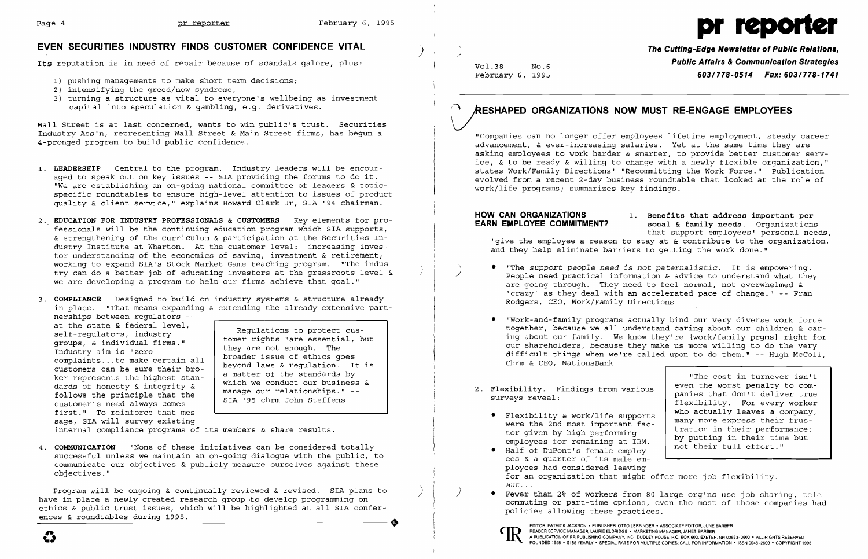

### **EVEN SECURITIES INDUSTRY FINDS CUSTOMER CONFIDENCE VITAL** )

Its reputation is in need of repair because of scandals galore, plus:

- 1) pushing managements to make short term decisions;
- 2) intensifying the greed/now syndrome,
- 3) turning a structure as vital to everyone's wellbeing as investment capital into speculation & gambling, e.g. derivatives.

Wall Street is at last concerned, wants to win public's trust. Securities Industry Ass'n, representing Wall Street & Main Street firms, has begun a 4-pronged program to build public confidence.

- 1. LEADERSHIP Central to the program. Industry leaders will be encouraged to speak out on key issues -- SIA providing the forums to do it. "We are establishing an on-going national committee of leaders & topicspecific roundtables to ensure high-level attention to issues of product quality & client service," explains Howard Clark Jr, SIA '94 chairman.
- 2. **EDUCATION FOR INDUSTRY PROFESSIONALS & CUSTOMERS** Key elements for professionals will be the continuing education program which SIA supports, & strengthening of the curriculum & participation at the Securities Industry Institute at Wharton. At the customer level: increasing investor understanding of the economics of saving, investment & retirement; working to expand SIA's Stock Market Game teaching program. "The industry can do a better job of educating investors at the grassroots level & ) we are developing a program to help our firms achieve that goal."
- 3. **COMPLIANCE** Designed to build on industry systems & structure already in place. "That means expanding & extending the already extensive part-

nerships between regulators --<br>at the state & federal level, at the state & federal level,<br>self-regulators, industry<br>groups, & individual firms."<br>tomer rights "are essential, but<br>they are not enough. The follows the principle that the manage our relationships."<br>
SIA '95 chrm John Steffens first." To reinforce that message, SIA will survey existing

groups, & individual firms."<br>
Industry aim is "zero broader issue of ethics goes<br>
complaints... to make certain all broader issue of ethics goes<br>
customers can be sure their bro-<br>
customers can be sure their bro-<br>
customer customers can be sure their bro-<br>ker represents the highest stan-<br>dards of honesty & integrity & manage our relationships." --

**HOW CAN ORGANIZATIONS** 1. Benefits that address important per-<br> **EARN EMPLOYEE COMMITMENT?** sonal & family needs. Organizations **sonal & family needs.** Organizations that support employees' personal needs, "give the employee a reason to stay at  $\&$  contribute to the organization, and they help eliminate barriers to getting the work done."

internal compliance programs of its members & share results.

4. **COMMUNICATION** "None of these initiatives can be considered totally successful unless we maintain an on-going dialogue with the public, to communicate our objectives & publicly measure ourselves against these objectives."

Program will be ongoing & continually reviewed & revised. SIA plans to have in place a newly created research group to develop programming on ethics & public trust issues, which will be highlighted at all SIA confer ences & roundtables during 1995.

**P** Fewer than 2% of workers from 80 large org'ns use job sharing, telecommuting or part-time options, even tho most of those companies had

) **The Cutting-Edge Newsletter of Public Relations,**  Vol.38 NO.6 **Public Affairs & Communication Strategies**  February 6, 1995 *603/778-0514 Fax: 603/778-1741* 

# **VESHAPED ORGANIZATIONS NOW MUST RE-ENGAGE EMPLOYEES**

"Companies can no longer offer employees lifetime employment, steady career advancement, & ever-increasing salaries. Yet at the same time they are asking employees to work harder & smarter, to provide better customer service, & to be ready & willing to change with a newly flexible organization," states Work/Family Directions' "Recommitting the Work Force." Publication evolved from a recent 2-day business roundtable that looked at the role of work/life programs; summarizes key findings.

• "The *support people need is* not *paternalistic.* It is empowering. ) People need practical information & advice to understand what they are going through. They need to feel normal, not overwhelmed & 'crazy' as they deal with an accelerated pace of change." -- Fran

• "Work-and-family programs actually bind our very diverse work force together, because we all understand caring about our children & caring about our family. We know they're [work/family prgms] right for our shareholders, because they make us more willing to do the very difficult things when we're called upon to do them." -- Hugh McColl,

- Rodgers, CEO, Work/Family Directions
- Chrm & CEO, NationsBank
- 2. **Flexibility.** Findings from various surveys reveal:
	- • Flexibility & work/life supports were the 2nd most important factor given by high-performing employees for remaining at IBM.
	- • Half of DuPont's female employees & a quarter of its male employees had considered leaving for an organization that might offer more job flexibility.
	- policies allowing these practices.

"The cost in turnover isn't even the worst penalty to companies that don't deliver true flexibility. For every worker who actually leaves a company, many more express their frustration in their performance: by putting in their time but not their full effort."



 $\mathbf{G}$